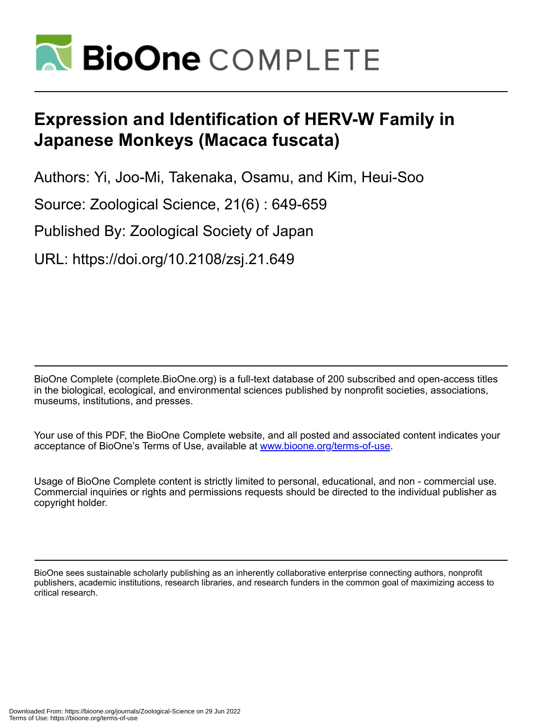

# **Expression and Identification of HERV-W Family in Japanese Monkeys (Macaca fuscata)**

Authors: Yi, Joo-Mi, Takenaka, Osamu, and Kim, Heui-Soo

Source: Zoological Science, 21(6) : 649-659

Published By: Zoological Society of Japan

URL: https://doi.org/10.2108/zsj.21.649

BioOne Complete (complete.BioOne.org) is a full-text database of 200 subscribed and open-access titles in the biological, ecological, and environmental sciences published by nonprofit societies, associations, museums, institutions, and presses.

Your use of this PDF, the BioOne Complete website, and all posted and associated content indicates your acceptance of BioOne's Terms of Use, available at www.bioone.org/terms-of-use.

Usage of BioOne Complete content is strictly limited to personal, educational, and non - commercial use. Commercial inquiries or rights and permissions requests should be directed to the individual publisher as copyright holder.

BioOne sees sustainable scholarly publishing as an inherently collaborative enterprise connecting authors, nonprofit publishers, academic institutions, research libraries, and research funders in the common goal of maximizing access to critical research.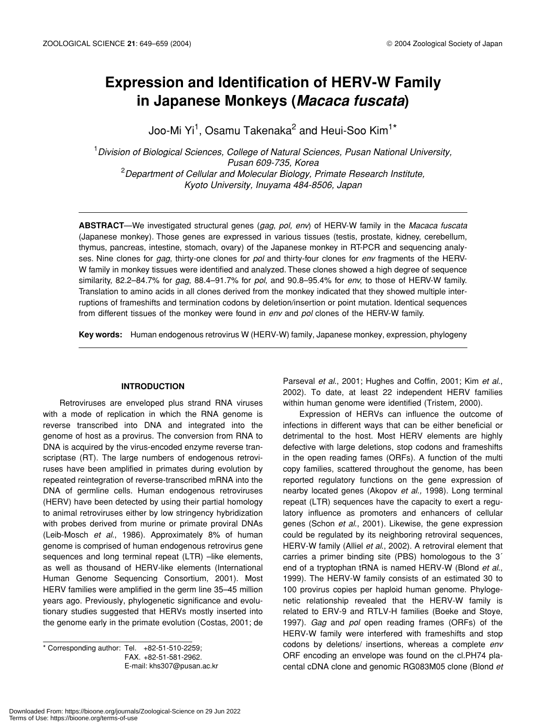# **Expression and Identification of HERV-W Family in Japanese Monkeys (***Macaca fuscata***)**

Joo-Mi Yi $^1$ , Osamu Takenaka $^2$  and Heui-Soo Kim $^1{}^{\star}$ 

1 *Division of Biological Sciences, College of Natural Sciences, Pusan National University, Pusan 609-735, Korea* 2 *Department of Cellular and Molecular Biology, Primate Research Institute, Kyoto University, Inuyama 484-8506, Japan*

**ABSTRACT**—We investigated structural genes (*gag*, *pol, env*) of HERV-W family in the *Macaca fuscata* (Japanese monkey). Those genes are expressed in various tissues (testis, prostate, kidney, cerebellum, thymus, pancreas, intestine, stomach, ovary) of the Japanese monkey in RT-PCR and sequencing analyses. Nine clones for *gag*, thirty-one clones for *pol* and thirty-four clones for *env* fragments of the HERV-W family in monkey tissues were identified and analyzed. These clones showed a high degree of sequence similarity, 82.2–84.7% for *gag*, 88.4–91.7% for *pol*, and 90.8–95.4% for *env*, to those of HERV-W family. Translation to amino acids in all clones derived from the monkey indicated that they showed multiple interruptions of frameshifts and termination codons by deletion/insertion or point mutation. Identical sequences from different tissues of the monkey were found in *env* and *pol* clones of the HERV-W family.

**Key words:** Human endogenous retrovirus W (HERV-W) family, Japanese monkey, expression, phylogeny

# **INTRODUCTION**

Retroviruses are enveloped plus strand RNA viruses with a mode of replication in which the RNA genome is reverse transcribed into DNA and integrated into the genome of host as a provirus. The conversion from RNA to DNA is acquired by the virus-encoded enzyme reverse transcriptase (RT). The large numbers of endogenous retroviruses have been amplified in primates during evolution by repeated reintegration of reverse-transcribed mRNA into the DNA of germline cells. Human endogenous retroviruses (HERV) have been detected by using their partial homology to animal retroviruses either by low stringency hybridization with probes derived from murine or primate proviral DNAs (Leib-Mosch *et al*., 1986). Approximately 8% of human genome is comprised of human endogenous retrovirus gene sequences and long terminal repeat (LTR) –like elements, as well as thousand of HERV-like elements (International Human Genome Sequencing Consortium, 2001). Most HERV families were amplified in the germ line 35–45 million years ago. Previously, phylogenetic significance and evolutionary studies suggested that HERVs mostly inserted into the genome early in the primate evolution (Costas, 2001; de

\* Corresponding author: Tel. +82-51-510-2259; FAX. +82-51-581-2962. E-mail: khs307@pusan.ac.kr

Parseval *et al*., 2001; Hughes and Coffin, 2001; Kim *et al*., 2002). To date, at least 22 independent HERV families within human genome were identified (Tristem, 2000).

Expression of HERVs can influence the outcome of infections in different ways that can be either beneficial or detrimental to the host. Most HERV elements are highly defective with large deletions, stop codons and frameshifts in the open reading fames (ORFs). A function of the multi copy families, scattered throughout the genome, has been reported regulatory functions on the gene expression of nearby located genes (Akopov *et al.,* 1998). Long terminal repeat (LTR) sequences have the capacity to exert a regulatory influence as promoters and enhancers of cellular genes (Schon *et al*., 2001). Likewise, the gene expression could be regulated by its neighboring retroviral sequences, HERV-W family (Alliel *et al*., 2002). A retroviral element that carries a primer binding site (PBS) homologous to the 3´ end of a tryptophan tRNA is named HERV-W (Blond *et al*., 1999). The HERV-W family consists of an estimated 30 to 100 provirus copies per haploid human genome. Phylogenetic relationship revealed that the HERV-W family is related to ERV-9 and RTLV-H families (Boeke and Stoye, 1997). *Gag* and *pol* open reading frames (ORFs) of the HERV-W family were interfered with frameshifts and stop codons by deletions/ insertions, whereas a complete *env* ORF encoding an envelope was found on the cl.PH74 placental cDNA clone and genomic RG083M05 clone (Blond *et*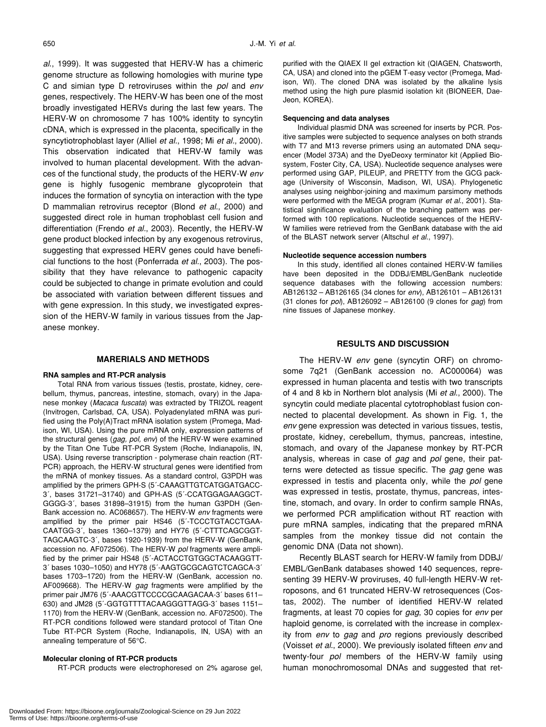*al*., 1999). It was suggested that HERV-W has a chimeric genome structure as following homologies with murine type C and simian type D retroviruses within the *pol* and *env* genes, respectively. The HERV-W has been one of the most broadly investigated HERVs during the last few years. The HERV-W on chromosome 7 has 100% identity to syncytin cDNA, which is expressed in the placenta, specifically in the syncytiotrophoblast layer (Alliel *et al.*, 1998; Mi *et al.*, 2000). This observation indicated that HERV-W family was involved to human placental development. With the advances of the functional study, the products of the HERV-W *env* gene is highly fusogenic membrane glycoprotein that induces the formation of syncytia on interaction with the type D mammalian retrovirus receptor (Blond *et al*., 2000) and suggested direct role in human trophoblast cell fusion and differentiation (Frendo *et al.*, 2003). Recently, the HERV-W gene product blocked infection by any exogenous retrovirus, suggesting that expressed HERV genes could have beneficial functions to the host (Ponferrada *et al.*, 2003). The possibility that they have relevance to pathogenic capacity could be subjected to change in primate evolution and could be associated with variation between different tissues and with gene expression. In this study, we investigated expression of the HERV-W family in various tissues from the Japanese monkey.

# **MARERIALS AND METHODS**

#### **RNA samples and RT-PCR analysis**

Total RNA from various tissues (testis, prostate, kidney, cerebellum, thymus, pancreas, intestine, stomach, ovary) in the Japanese monkey (*Macaca fuscata*) was extracted by TRIZOL reagent (Invitrogen, Carlsbad, CA, USA). Polyadenylated mRNA was purified using the Poly(A)Tract mRNA isolation system (Promega, Madison, WI, USA). Using the pure mRNA only, expression patterns of the structural genes (*gag, pol, env*) of the HERV-W were examined by the Titan One Tube RT-PCR System (Roche, Indianapolis, IN, USA). Using reverse transcription - polymerase chain reaction (RT-PCR) approach, the HERV-W structural genes were identified from the mRNA of monkey tissues. As a standard control, G3PDH was amplified by the primers GPH-S (5´-CAAAGTTGTCATGGATGACC-3´, bases 31721–31740) and GPH-AS (5´-CCATGGAGAAGGCT-GGGG-3´, bases 31898–31915) from the human G3PDH (Gen-Bank accession no. AC068657). The HERV-W *env* fragments were amplified by the primer pair HS46 (5´-TCCCTGTACCTGAA-CAATGG-3´, bases 1360–1379) and HY76 (5´-CTTTCAGCGGT-TAGCAAGTC-3´, bases 1920-1939) from the HERV-W (GenBank, accession no. AF072506). The HERV-W *pol* fragments were amplified by the primer pair HS48 (5´-ACTACCTGTGGCTACAAGGTT-3´ bases 1030–1050) and HY78 (5´-AAGTGCGCAGTCTCAGCA-3´ bases 1703–1720) from the HERV-W (GenBank, accession no. AF009668). The HERV-W *gag* fragments were amplified by the primer pair JM76 (5´-AAACGTTCCCCGCAAGACAA-3´ bases 611– 630) and JM28 (5´-GGTGTTTTACAAGGGTTAGG-3´ bases 1151– 1170) from the HERV-W (GenBank, accession no. AF072500). The RT-PCR conditions followed were standard protocol of Titan One Tube RT-PCR System (Roche, Indianapolis, IN, USA) with an annealing temperature of 56°C.

#### **Molecular cloning of RT-PCR products**

RT-PCR products were electrophoresed on 2% agarose gel,

purified with the QIAEX II gel extraction kit (QIAGEN, Chatsworth, CA, USA) and cloned into the pGEM T-easy vector (Promega, Madison, WI). The cloned DNA was isolated by the alkaline lysis method using the high pure plasmid isolation kit (BIONEER, Dae-Jeon, KOREA).

#### **Sequencing and data analyses**

Individual plasmid DNA was screened for inserts by PCR. Positive samples were subjected to sequence analyses on both strands with T7 and M13 reverse primers using an automated DNA sequencer (Model 373A) and the DyeDeoxy terminator kit (Applied Biosystem, Foster City, CA, USA). Nucleotide sequence analyses were performed using GAP, PILEUP, and PRETTY from the GCG package (University of Wisconsin, Madison, WI, USA). Phylogenetic analyses using neighbor-joining and maximum parsimony methods were performed with the MEGA program (Kumar *et al.*, 2001). Statistical significance evaluation of the branching pattern was performed with 100 replications. Nucleotide sequences of the HERV-W families were retrieved from the GenBank database with the aid of the BLAST network server (Altschul *et al*., 1997).

#### **Nucleotide sequence accession numbers**

In this study, identified all clones contained HERV-W families have been deposited in the DDBJ/EMBL/GenBank nucleotide sequence databases with the following accession numbers: AB126132 – AB126165 (34 clones for *env*), AB126101 – AB126131 (31 clones for *pol*), AB126092 – AB126100 (9 clones for *gag*) from nine tissues of Japanese monkey.

# **RESULTS AND DISCUSSION**

The HERV-W *env* gene (syncytin ORF) on chromosome 7q21 (GenBank accession no. AC000064) was expressed in human placenta and testis with two transcripts of 4 and 8 kb in Northern blot analysis (Mi *et al*., 2000). The syncytin could mediate placental cytotrophoblast fusion connected to placental development. As shown in Fig. 1, the *env* gene expression was detected in various tissues, testis, prostate, kidney, cerebellum, thymus, pancreas, intestine, stomach, and ovary of the Japanese monkey by RT-PCR analysis, whereas in case of *gag* and *pol* gene, their patterns were detected as tissue specific. The *gag* gene was expressed in testis and placenta only, while the *pol* gene was expressed in testis, prostate, thymus, pancreas, intestine, stomach, and ovary. In order to confirm sample RNAs, we performed PCR amplification without RT reaction with pure mRNA samples, indicating that the prepared mRNA samples from the monkey tissue did not contain the genomic DNA (Data not shown).

Recently BLAST search for HERV-W family from DDBJ/ EMBL/GenBank databases showed 140 sequences, representing 39 HERV-W proviruses, 40 full-length HERV-W retroposons, and 61 truncated HERV-W retrosequences (Costas, 2002). The number of identified HERV-W related fragments, at least 70 copies for *gag*, 30 copies for *env* per haploid genome, is correlated with the increase in complexity from *env* to *gag* and *pro* regions previously described (Voisset *et al*., 2000). We previously isolated fifteen *env* and twenty-four *pol* members of the HERV-W family using human monochromosomal DNAs and suggested that ret-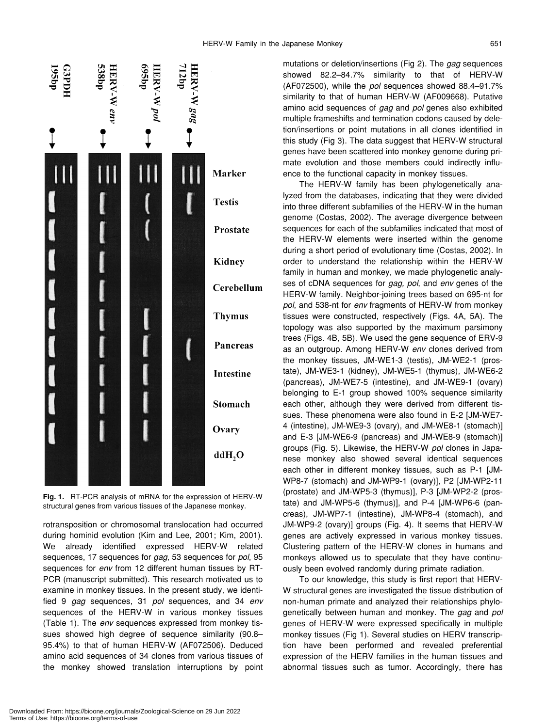

**Fig. 1.** RT-PCR analysis of mRNA for the expression of HERV-W structural genes from various tissues of the Japanese monkey.

rotransposition or chromosomal translocation had occurred during hominid evolution (Kim and Lee, 2001; Kim, 2001). We already identified expressed HERV-W related sequences, 17 sequences for *gag*, 53 sequences for *pol*, 95 sequences for *env* from 12 different human tissues by RT-PCR (manuscript submitted). This research motivated us to examine in monkey tissues. In the present study, we identified 9 *gag* sequences, 31 *pol* sequences, and 34 *env* sequences of the HERV-W in various monkey tissues (Table 1). The *env* sequences expressed from monkey tissues showed high degree of sequence similarity (90.8– 95.4%) to that of human HERV-W (AF072506). Deduced amino acid sequences of 34 clones from various tissues of the monkey showed translation interruptions by point mutations or deletion/insertions (Fig 2). The *gag* sequences showed 82.2–84.7% similarity to that of HERV-W (AF072500), while the *pol* sequences showed 88.4–91.7% similarity to that of human HERV-W (AF009668). Putative amino acid sequences of *gag* and *pol* genes also exhibited multiple frameshifts and termination codons caused by deletion/insertions or point mutations in all clones identified in this study (Fig 3). The data suggest that HERV-W structural genes have been scattered into monkey genome during primate evolution and those members could indirectly influence to the functional capacity in monkey tissues.

The HERV-W family has been phylogenetically analyzed from the databases, indicating that they were divided into three different subfamilies of the HERV-W in the human genome (Costas, 2002). The average divergence between sequences for each of the subfamilies indicated that most of the HERV-W elements were inserted within the genome during a short period of evolutionary time (Costas, 2002). In order to understand the relationship within the HERV-W family in human and monkey, we made phylogenetic analyses of cDNA sequences for *gag, pol*, and *env* genes of the HERV-W family. Neighbor-joining trees based on 695-nt for *pol*, and 538-nt for *env* fragments of HERV-W from monkey tissues were constructed, respectively (Figs. 4A, 5A). The topology was also supported by the maximum parsimony trees (Figs. 4B, 5B). We used the gene sequence of ERV-9 as an outgroup. Among HERV-W *env* clones derived from the monkey tissues, JM-WE1-3 (testis), JM-WE2-1 (prostate), JM-WE3-1 (kidney), JM-WE5-1 (thymus), JM-WE6-2 (pancreas), JM-WE7-5 (intestine), and JM-WE9-1 (ovary) belonging to E-1 group showed 100% sequence similarity each other, although they were derived from different tissues. These phenomena were also found in E-2 [JM-WE7- 4 (intestine), JM-WE9-3 (ovary), and JM-WE8-1 (stomach)] and E-3 [JM-WE6-9 (pancreas) and JM-WE8-9 (stomach)] groups (Fig. 5). Likewise, the HERV-W *pol* clones in Japanese monkey also showed several identical sequences each other in different monkey tissues, such as P-1 [JM-WP8-7 (stomach) and JM-WP9-1 (ovary)], P2 [JM-WP2-11 (prostate) and JM-WP5-3 (thymus)], P-3 [JM-WP2-2 (prostate) and JM-WP5-6 (thymus)], and P-4 [JM-WP6-6 (pancreas), JM-WP7-1 (intestine), JM-WP8-4 (stomach), and JM-WP9-2 (ovary)] groups (Fig. 4). It seems that HERV-W genes are actively expressed in various monkey tissues. Clustering pattern of the HERV-W clones in humans and monkeys allowed us to speculate that they have continuously been evolved randomly during primate radiation.

To our knowledge, this study is first report that HERV-W structural genes are investigated the tissue distribution of non-human primate and analyzed their relationships phylogenetically between human and monkey. The *gag* and *pol* genes of HERV-W were expressed specifically in multiple monkey tissues (Fig 1). Several studies on HERV transcription have been performed and revealed preferential expression of the HERV families in the human tissues and abnormal tissues such as tumor. Accordingly, there has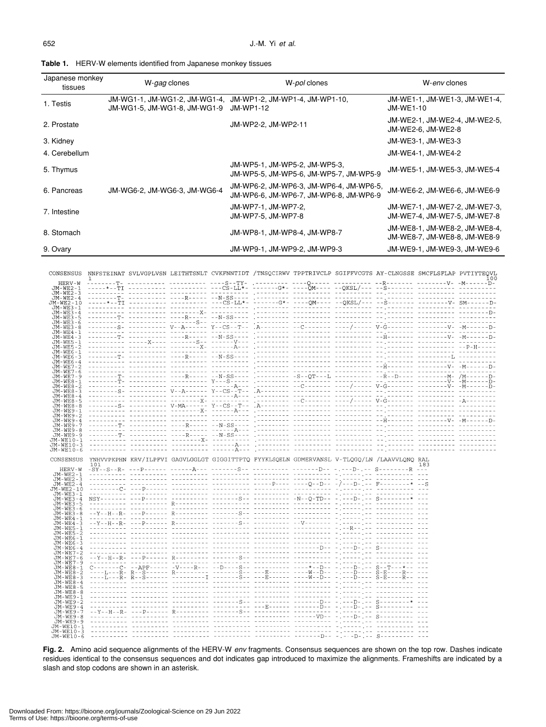| ےں<br>. . |  |  |
|-----------|--|--|
|           |  |  |
|           |  |  |

| <b>Table 1.</b> HERV-W elements identified from Japanese monkey tissues |
|-------------------------------------------------------------------------|
|-------------------------------------------------------------------------|

| Japanese monkey<br>tissues | W-gag clones                                                  | W-pol clones                                                                      | W-env clones                                                  |
|----------------------------|---------------------------------------------------------------|-----------------------------------------------------------------------------------|---------------------------------------------------------------|
| 1. Testis                  | JM-WG1-1, JM-WG1-2, JM-WG1-4,<br>JM-WG1-5, JM-WG1-8, JM-WG1-9 | JM-WP1-2, JM-WP1-4, JM-WP1-10,<br>JM-WP1-12                                       | JM-WE1-1, JM-WE1-3, JM-WE1-4,<br>JM-WE1-10                    |
| 2. Prostate                |                                                               | JM-WP2-2, JM-WP2-11                                                               | JM-WE2-1, JM-WE2-4, JM-WE2-5,<br>JM-WE2-6, JM-WE2-8           |
| 3. Kidney                  |                                                               |                                                                                   | JM-WE3-1, JM-WE3-3                                            |
| 4. Cerebellum              |                                                               |                                                                                   | JM-WE4-1, JM-WE4-2                                            |
| 5. Thymus                  |                                                               | JM-WP5-1, JM-WP5-2, JM-WP5-3,<br>JM-WP5-5, JM-WP5-6, JM-WP5-7, JM-WP5-9           | JM-WE5-1, JM-WE5-3, JM-WE5-4                                  |
| 6. Pancreas                | JM-WG6-2, JM-WG6-3, JM-WG6-4                                  | JM-WP6-2, JM-WP6-3, JM-WP6-4, JM-WP6-5,<br>JM-WP6-6. JM-WP6-7. JM-WP6-8. JM-WP6-9 | JM-WE6-2, JM-WE6-6, JM-WE6-9                                  |
| 7. Intestine               |                                                               | JM-WP7-1, JM-WP7-2,<br>JM-WP7-5, JM-WP7-8                                         | JM-WE7-1, JM-WE7-2, JM-WE7-3,<br>JM-WE7-4, JM-WE7-5, JM-WE7-8 |
| 8. Stomach                 |                                                               | JM-WP8-1, JM-WP8-4, JM-WP8-7                                                      | JM-WE8-1, JM-WE8-2, JM-WE8-4,<br>JM-WE8-7, JM-WE8-8, JM-WE8-9 |
| 9. Ovary                   |                                                               | JM-WP9-1, JM-WP9-2, JM-WP9-3                                                      | JM-WE9-1, JM-WE9-3, JM-WE9-6                                  |

CONSENSUS NNFSTEINAT SVLVGPLVSN LEITHTSNLT CVKFNNTIDT /TNSQCIRWV TPPTRIVCLP SGIFFVCGTS AY-CLNGSSE SMCFLSFLAP PVTIYTEQVL  $\begin{array}{c} \rm{HERN-WE2-1} \\ \rm{JM-WE2-1} \\ \rm{JM-WE2-1} \\ \rm{JM-WE2-1} \\ \rm{JM-WE2-1} \\ \rm{JM-WE2-1} \\ \rm{JM-WE2-1} \\ \rm{JM-WE2-1} \\ \rm{J} \\ \rm{J} \\ \rm{J} \\ \rm{J} \\ \rm{J} \\ \rm{J} \\ \rm{J} \\ \rm{J} \\ \rm{J} \\ \rm{J} \\ \rm{J} \\ \rm{J} \\ \rm{J} \\ \rm{J} \\ \rm{J} \\ \rm{J} \\ \rm{J} \\ \rm{J} \\ \rm{J} \\ \rm{J} \\ \rm{J$ HERV-W JM-WE7-9<br>JM-WE8-2<br>JM-WE8-3<br>JM-WE8-5<br>JM-WE8-5<br>JM-WE8-9<br>JM-WE9-9<br>JM-WE9-9<br>JM-WE9-9<br>JM-WE9-9<br>JM-WE9-9<br>JM-WE9-9<br>JM-WE9-9 JM-WE10-1<br>JM-WE10-1<br>JM-WE10-3 CONSENSUS YNHVORFENN KRV/ILPFVI GAGVLGGLGT GIGGITTPTQ FYYKLSQELN GDMERVANSL V-TLQGQ/LN /LAAVVLQNQ RAL HERV-W THERV<br>JM-WE2<br>JM-WE2<br>JM-WE2  $\begin{array}{lcl} {\rm JM-WE2-3} \\ {\rm JM-WE2-10} \\ {\rm JM-WE2-10} \\ {\rm JM-WE3-5} \\ {\rm JM-WE3-5} \\ {\rm JM-WE3-6} \\ {\rm JM-WE3-6} \\ {\rm JM-WE3-6} \\ {\rm JM-WE4-1} \\ {\rm JM-WE5-1} \\ {\rm JM-WE5-1} \\ {\rm JM-WE5-1} \\ {\rm JM-WE5-1} \\ {\rm JM-WE5-1} \\ {\rm JM-WE6-1} \\ {\rm JM-WE6-1} \\ {\rm JM-WE6-1} \\ \end{array}$ 

|                |  |  | 图1-10-10-20 Control 100 Control 100 Control 100 Control 100 Control 100 Control 100 Control 100 Control 100 Co |  |  |
|----------------|--|--|----------------------------------------------------------------------------------------------------------------|--|--|
| $JM-WEG-3$     |  |  | accessive concerned chiarmana accessives accessive consessance ajunciojne concerne co                          |  |  |
| JM-WE6-4       |  |  |                                                                                                                |  |  |
| JM-WE7-2       |  |  |                                                                                                                |  |  |
| $JM-WE7-6$     |  |  |                                                                                                                |  |  |
| $JM-WF7-9$     |  |  | acadicidis paccionent diversitet citatititis titilititis citatititis (jitilitya esternatura al                 |  |  |
| $JM-WE8-1$     |  |  |                                                                                                                |  |  |
| $JM-WES-2$     |  |  | ----L---R- R--S------ R--------- -------S-- ---E------ ----W--D-- -.---D---- S-E----R-- ---                    |  |  |
| $JM-WE8-3$     |  |  | ----I,---R- R--S------ ----------I -------S-- ---E------ ----W--D-- -.---D---- S-E----R-- ---                  |  |  |
| $JM-WE8-4$     |  |  | according citizensis confidence executives executive septembers a prima at including the                       |  |  |
| $JM-WER-5$     |  |  | adallillise suosittivit sittyistellä titaisisten terittivista työkeisesta tyykeisyystyksestävät suo            |  |  |
| $JM-WER-8$     |  |  | iiliiliili liiliiliili aanaaleen maadeessa veestelee terkansaal tjeneesjas maalakili ili                       |  |  |
| $JM-WE9 - 1$   |  |  | icitizica accessori accessori, sentranda populare venerenda a padre e accessori co                             |  |  |
| JM-WE9-2       |  |  |                                                                                                                |  |  |
| $JM-WE9-4$     |  |  |                                                                                                                |  |  |
| $JM-WE9-7$     |  |  |                                                                                                                |  |  |
| $JM-WE9 - 8$   |  |  |                                                                                                                |  |  |
| $TM-WE9-9$     |  |  | ailiiliili daleeleel kuulueesta muuttuvat muunnista varinnanna pjeseel,ki kuulueeli lii                        |  |  |
| $JM-WE10 - 1$  |  |  |                                                                                                                |  |  |
| $JM-WE1.0 - 3$ |  |  | ausochlore pedagogole disposition pedagogoleg pedagogoleg pedagogoleg ajutist di biologicale vit               |  |  |
| $JM-WE10-6$    |  |  |                                                                                                                |  |  |
|                |  |  |                                                                                                                |  |  |
|                |  |  |                                                                                                                |  |  |

**Fig. 2.** Amino acid sequence alignments of the HERV-W *env* fragments. Consensus sequences are shown on the top row. Dashes indicate residues identical to the consensus sequences and dot indicates gap introduced to maximize the alignments. Frameshifts are indicated by a slash and stop codons are shown in an asterisk.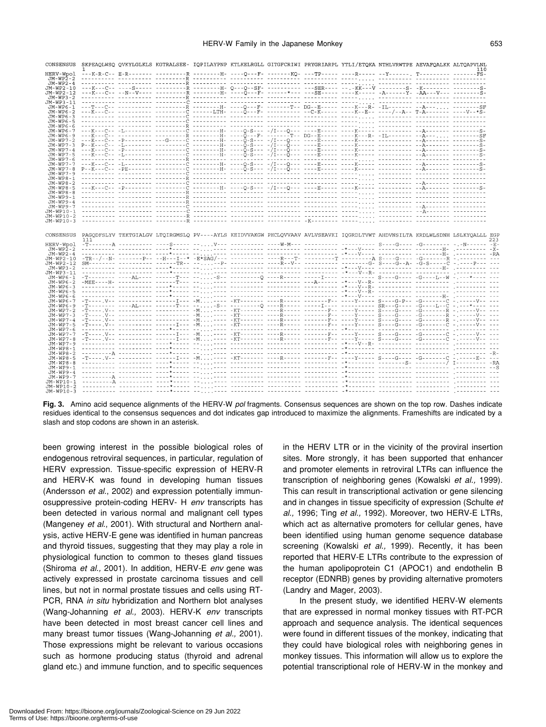## HERV-W Family in the Japanese Monkey **653**

| CONSENSUS              |                                                                                                                                                                                                                                      |                                                                             | SKPEAQLWSQ QVKYLGLKLS KGTRALSEE- IQPILAYPNP KTLKELRGLL GITGFCRIWI PRYGRIARPL YTLI/ETQKA NTHLVRWTPE AEVAFQALKK ALTQAPVLNL                                                                                                                                         |  |                                                                             |  | 110 |     |
|------------------------|--------------------------------------------------------------------------------------------------------------------------------------------------------------------------------------------------------------------------------------|-----------------------------------------------------------------------------|------------------------------------------------------------------------------------------------------------------------------------------------------------------------------------------------------------------------------------------------------------------|--|-----------------------------------------------------------------------------|--|-----|-----|
| HERV-Wpol              |                                                                                                                                                                                                                                      |                                                                             | ---K-R-C-- E-R------- ----------R --------H- ----Q---F- -------KQ- ---TP----- ----R----- -Y------, T--------- -------FS-                                                                                                                                         |  |                                                                             |  |     |     |
| JM-WP2-2<br>$JM-WP2-4$ |                                                                                                                                                                                                                                      |                                                                             | <u> AALIILIILI TIILIILIILI TIILIILIIR TIILIILIILI TIILIILIIL TIILIILIILI TULIILI TULIILI TIILIILIILI TIILIILIILI</u>                                                                                                                                             |  |                                                                             |  |     |     |
| JM-WP2-10              |                                                                                                                                                                                                                                      |                                                                             |                                                                                                                                                                                                                                                                  |  |                                                                             |  |     |     |
| JM-WP2-12              |                                                                                                                                                                                                                                      |                                                                             |                                                                                                                                                                                                                                                                  |  |                                                                             |  |     |     |
| JM-WP3-2               |                                                                                                                                                                                                                                      |                                                                             |                                                                                                                                                                                                                                                                  |  |                                                                             |  |     |     |
| JM-WP3-11              |                                                                                                                                                                                                                                      |                                                                             | ---T---C-- ---------- ----------R -------H- ----O---F- -------T-- DG--E----- ----K <sup>----</sup> R- -IL------- --A--- <sub>-----</sub> ----------SF                                                                                                            |  |                                                                             |  |     |     |
| JM-WP6-1<br>JM-WP6-2   | ---R---C-- ---------- ----------Ö ------LTH- ----Õ---P- ---------- --C-R----- ----R--B-- ---A--- T-A-------- ----V--*S-                                                                                                              |                                                                             |                                                                                                                                                                                                                                                                  |  |                                                                             |  |     |     |
| JM-WP6-3               | , sadistāts tritatatas titititatā tititākā titilis titititatu titiditatis titilijāji titititāts didetatis titi                                                                                                                       |                                                                             |                                                                                                                                                                                                                                                                  |  |                                                                             |  |     |     |
| JM-WP6-5               |                                                                                                                                                                                                                                      |                                                                             |                                                                                                                                                                                                                                                                  |  |                                                                             |  |     |     |
| JM-WP6-6               |                                                                                                                                                                                                                                      |                                                                             |                                                                                                                                                                                                                                                                  |  |                                                                             |  |     |     |
| JM-WP6-7               |                                                                                                                                                                                                                                      |                                                                             | ---K---C-- -T.------- ---------C --------H- ----O-S--- -/T---O--- ----R----- ----K-1111 ---------- --A------- ---------S-<br>---K---C-- -T-------- ----------R --------H- ----Ô-P-F- - <sup>12</sup> ------- ----R----- ---K---R- -II.------- --A--- ---------SR |  |                                                                             |  |     |     |
| JM-WP6-9<br>JM-WP7-2   |                                                                                                                                                                                                                                      |                                                                             |                                                                                                                                                                                                                                                                  |  |                                                                             |  |     |     |
| JM-WP7-3               |                                                                                                                                                                                                                                      |                                                                             |                                                                                                                                                                                                                                                                  |  |                                                                             |  |     |     |
| JM-WP7-4               |                                                                                                                                                                                                                                      |                                                                             |                                                                                                                                                                                                                                                                  |  |                                                                             |  |     |     |
| JM-WP7-5               |                                                                                                                                                                                                                                      |                                                                             |                                                                                                                                                                                                                                                                  |  |                                                                             |  |     |     |
| JM-WP7-6               |                                                                                                                                                                                                                                      |                                                                             |                                                                                                                                                                                                                                                                  |  |                                                                             |  |     |     |
|                        |                                                                                                                                                                                                                                      |                                                                             |                                                                                                                                                                                                                                                                  |  |                                                                             |  |     |     |
|                        |                                                                                                                                                                                                                                      |                                                                             |                                                                                                                                                                                                                                                                  |  |                                                                             |  |     |     |
| JM-WP8-1               |                                                                                                                                                                                                                                      |                                                                             |                                                                                                                                                                                                                                                                  |  |                                                                             |  |     |     |
| JM-WP8-2               |                                                                                                                                                                                                                                      |                                                                             |                                                                                                                                                                                                                                                                  |  |                                                                             |  |     |     |
| JM-WP8-5               |                                                                                                                                                                                                                                      |                                                                             |                                                                                                                                                                                                                                                                  |  |                                                                             |  |     |     |
|                        |                                                                                                                                                                                                                                      |                                                                             |                                                                                                                                                                                                                                                                  |  |                                                                             |  |     |     |
| JM-WP9-4               |                                                                                                                                                                                                                                      |                                                                             |                                                                                                                                                                                                                                                                  |  |                                                                             |  |     |     |
|                        |                                                                                                                                                                                                                                      |                                                                             |                                                                                                                                                                                                                                                                  |  |                                                                             |  |     |     |
| JM-WP10-2              |                                                                                                                                                                                                                                      |                                                                             |                                                                                                                                                                                                                                                                  |  |                                                                             |  |     |     |
| JM-WP10-3              |                                                                                                                                                                                                                                      |                                                                             |                                                                                                                                                                                                                                                                  |  |                                                                             |  |     |     |
|                        |                                                                                                                                                                                                                                      |                                                                             |                                                                                                                                                                                                                                                                  |  |                                                                             |  |     |     |
|                        |                                                                                                                                                                                                                                      |                                                                             |                                                                                                                                                                                                                                                                  |  |                                                                             |  |     |     |
|                        | CONSENSUS PAGQDFSLYV TEKTGIALGV LTQIRGMSLQ PV----AYLS KEIDVVAKGW PHCLQVVAAV AVLVSEAVKI IQGRDLTVWT AHDVNSILTA KRDLWLSDNH LSLKYQALLL EGE                                                                                               |                                                                             |                                                                                                                                                                                                                                                                  |  |                                                                             |  |     |     |
|                        | 111                                                                                                                                                                                                                                  |                                                                             |                                                                                                                                                                                                                                                                  |  |                                                                             |  |     | 223 |
| HERV-Wpol              |                                                                                                                                                                                                                                      |                                                                             |                                                                                                                                                                                                                                                                  |  |                                                                             |  |     |     |
| JM-WP2-2<br>JM-WP2-4   | .concertible concertible contract of[[[[colored]] concertible concertible excepted concertible concertible or RA                                                                                                                     |                                                                             | <u>iiliiniin olittisee kuurkeessa kejijisee eleitisee keestelee keestelee keistelee leitiselee joolitises kä</u>                                                                                                                                                 |  |                                                                             |  |     |     |
|                        |                                                                                                                                                                                                                                      |                                                                             |                                                                                                                                                                                                                                                                  |  |                                                                             |  |     |     |
| JM-WP2-12              |                                                                                                                                                                                                                                      |                                                                             |                                                                                                                                                                                                                                                                  |  |                                                                             |  |     |     |
| JM-WP3-2               |                                                                                                                                                                                                                                      |                                                                             | <u> Sitemaale seessaast osakoilla seljoola seessaast osallisis osaastaast keskyssä. Seessaali oliloonpi jossallas osa</u>                                                                                                                                        |  |                                                                             |  |     |     |
| JM-WP3-11              |                                                                                                                                                                                                                                      |                                                                             |                                                                                                                                                                                                                                                                  |  |                                                                             |  |     |     |
| $JM-WP6-2$             |                                                                                                                                                                                                                                      |                                                                             |                                                                                                                                                                                                                                                                  |  |                                                                             |  |     |     |
| $JM-WP6-3$             |                                                                                                                                                                                                                                      |                                                                             |                                                                                                                                                                                                                                                                  |  |                                                                             |  |     |     |
| JM-WP6-5               |                                                                                                                                                                                                                                      |                                                                             |                                                                                                                                                                                                                                                                  |  |                                                                             |  |     |     |
| JM-WP6-6<br>JM-WP6-7   | , concerne concerne cort*orie de[[[[cort concerne concerned corticies i*alVille concerned concern⊫[ concerne co<br>-T---- V-- --------- ------I--- -M---- -KT------- ----R----- ------F-- ----Y----- S----G-P-- -G-----------V-- --- |                                                                             |                                                                                                                                                                                                                                                                  |  |                                                                             |  |     |     |
| JM-WP6-9               |                                                                                                                                                                                                                                      |                                                                             |                                                                                                                                                                                                                                                                  |  |                                                                             |  |     |     |
| JM-WP7-2               |                                                                                                                                                                                                                                      |                                                                             |                                                                                                                                                                                                                                                                  |  |                                                                             |  |     |     |
| JM-WP7-3               |                                                                                                                                                                                                                                      |                                                                             |                                                                                                                                                                                                                                                                  |  |                                                                             |  |     |     |
| JM-WP7-4               |                                                                                                                                                                                                                                      |                                                                             | ritariya darasının darasında AMIII dar. Ağarıcının darığında darası indeyinden ğarangının görenemiği olurayla da                                                                                                                                                 |  |                                                                             |  |     |     |
| JM-WP7-5<br>JM-WP7-6   |                                                                                                                                                                                                                                      |                                                                             |                                                                                                                                                                                                                                                                  |  |                                                                             |  |     |     |
| JM-WP7-7               |                                                                                                                                                                                                                                      |                                                                             | -T----,V-- ---------- ------I--- -M---- -KT------- ----R----- -------F-- ----Y----- S----G------C -------V-- ---                                                                                                                                                 |  |                                                                             |  |     |     |
| JM-WP7-8               | --T---- V-- --------- ------I--- -M.l.l---- -KT------ ----R----- -----F-- -----Y----- Š----Ğ----- G-------Č -l-----V-- ---                                                                                                           |                                                                             |                                                                                                                                                                                                                                                                  |  |                                                                             |  |     |     |
| $JM-WP7-9$             |                                                                                                                                                                                                                                      | ----------- ---------- ----*---<br>----------- ---------- ---- <b>*</b> --- |                                                                                                                                                                                                                                                                  |  | APOSSICAL ANDRESSER REPORTER PRESENTED ANALYSING PRESENTATION ARE SERVICES. |  |     |     |
| JM-WP8-1<br>JM-WP8-2   | , dochodorą poddzenie podkadnie ie)(((die poddzenie poddzenie poddzenie sklipnice poddzenie poddzenie (poddzenie g                                                                                                                   |                                                                             | us us]]]]ause corrective createrine cooprobation excluded considering continuous [internation in                                                                                                                                                                 |  |                                                                             |  |     |     |
|                        |                                                                                                                                                                                                                                      |                                                                             |                                                                                                                                                                                                                                                                  |  |                                                                             |  |     |     |
|                        |                                                                                                                                                                                                                                      |                                                                             |                                                                                                                                                                                                                                                                  |  |                                                                             |  |     |     |
| JM-WP9-1               |                                                                                                                                                                                                                                      |                                                                             |                                                                                                                                                                                                                                                                  |  |                                                                             |  |     |     |
|                        |                                                                                                                                                                                                                                      |                                                                             |                                                                                                                                                                                                                                                                  |  |                                                                             |  |     |     |
|                        |                                                                                                                                                                                                                                      |                                                                             |                                                                                                                                                                                                                                                                  |  |                                                                             |  |     |     |
| JM-WP10-2<br>JM-WP10-3 |                                                                                                                                                                                                                                      |                                                                             |                                                                                                                                                                                                                                                                  |  |                                                                             |  |     |     |

**Fig. 3.** Amino acid sequence alignments of the HERV-W *pol* fragments. Consensus sequences are shown on the top row. Dashes indicate residues identical to the consensus sequences and dot indicates gap introduced to maximize the alignments. Frameshifts are indicated by a slash and stop codons are shown in an asterisk.

been growing interest in the possible biological roles of endogenous retroviral sequences, in particular, regulation of HERV expression. Tissue-specific expression of HERV-R and HERV-K was found in developing human tissues (Andersson *et al.*, 2002) and expression potentially immunosuppressive protein-coding HERV- H *env* transcripts has been detected in various normal and malignant cell types (Mangeney *et al*., 2001). With structural and Northern analysis, active HERV-E gene was identified in human pancreas and thyroid tissues, suggesting that they may play a role in physiological function to common to theses gland tissues (Shiroma *et al.,* 2001). In addition, HERV-E *env* gene was actively expressed in prostate carcinoma tissues and cell lines, but not in normal prostate tissues and cells using RT-PCR, RNA *in situ* hybridization and Northern blot analyses (Wang-Johanning *et al.,* 2003). HERV-K *env* transcripts have been detected in most breast cancer cell lines and many breast tumor tissues (Wang-Johanning *et al.,* 2001). Those expressions might be relevant to various occasions such as hormone producing status (thyroid and adrenal gland etc.) and immune function, and to specific sequences in the HERV LTR or in the vicinity of the proviral insertion sites. More strongly, it has been supported that enhancer and promoter elements in retroviral LTRs can influence the transcription of neighboring genes (Kowalski *et al.,* 1999). This can result in transcriptional activation or gene silencing and in changes in tissue specificity of expression (Schulte *et al.,* 1996; Ting *et al.,* 1992). Moreover, two HERV-E LTRs, which act as alternative promoters for cellular genes, have been identified using human genome sequence database screening (Kowalski *et al.,* 1999). Recently, it has been reported that HERV-E LTRs contribute to the expression of the human apolipoprotein C1 (APOC1) and endothelin B receptor (EDNRB) genes by providing alternative promoters (Landry and Mager, 2003).

In the present study, we identified HERV-W elements that are expressed in normal monkey tissues with RT-PCR approach and sequence analysis. The identical sequences were found in different tissues of the monkey, indicating that they could have biological roles with neighboring genes in monkey tissues. This information will allow us to explore the potential transcriptional role of HERV-W in the monkey and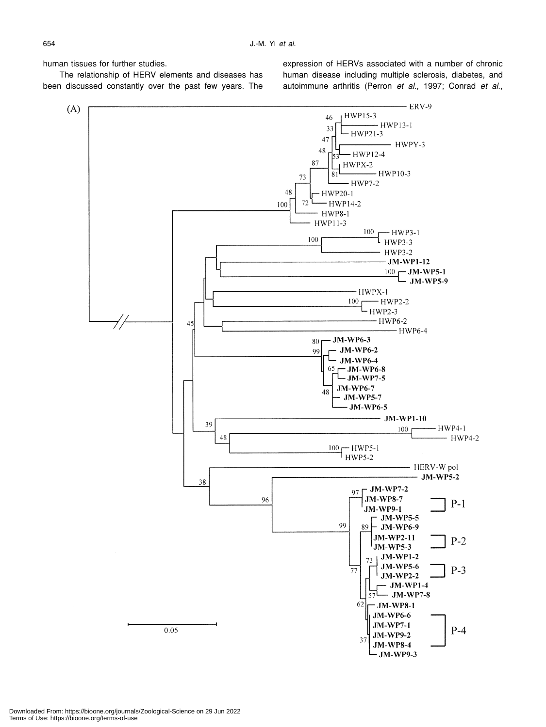human tissues for further studies.

The relationship of HERV elements and diseases has been discussed constantly over the past few years. The expression of HERVs associated with a number of chronic human disease including multiple sclerosis, diabetes, and autoimmune arthritis (Perron *et al.*, 1997; Conrad *et al*.,

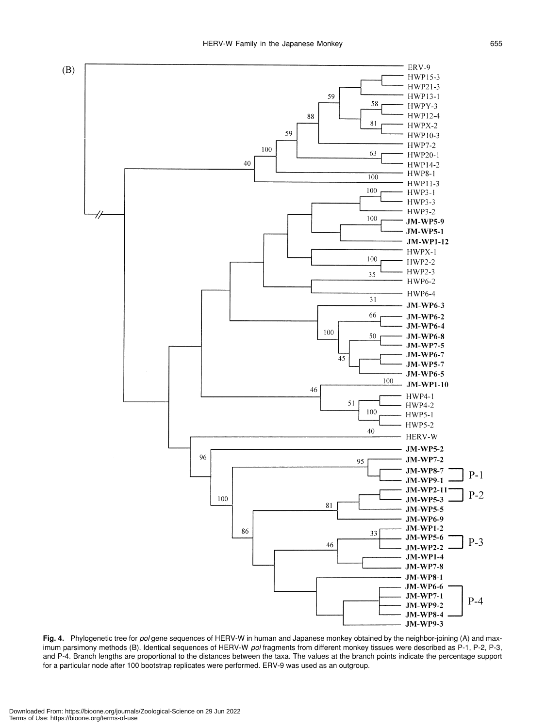

**Fig. 4.** Phylogenetic tree for *pol* gene sequences of HERV-W in human and Japanese monkey obtained by the neighbor-joining (A) and maximum parsimony methods (B). Identical sequences of HERV-W *pol* fragments from different monkey tissues were described as P-1, P-2, P-3, and P-4. Branch lengths are proportional to the distances between the taxa. The values at the branch points indicate the percentage support for a particular node after 100 bootstrap replicates were performed. ERV-9 was used as an outgroup.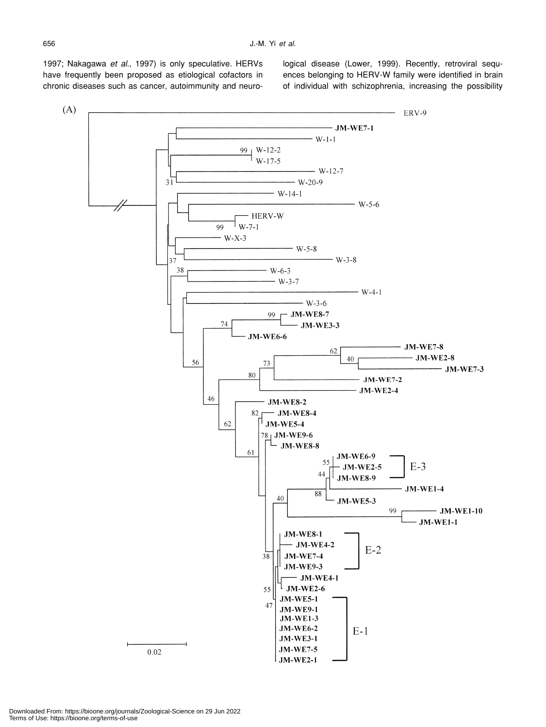1997; Nakagawa *et al*., 1997) is only speculative. HERVs have frequently been proposed as etiological cofactors in chronic diseases such as cancer, autoimmunity and neurological disease (Lower, 1999). Recently, retroviral sequences belonging to HERV-W family were identified in brain of individual with schizophrenia, increasing the possibility

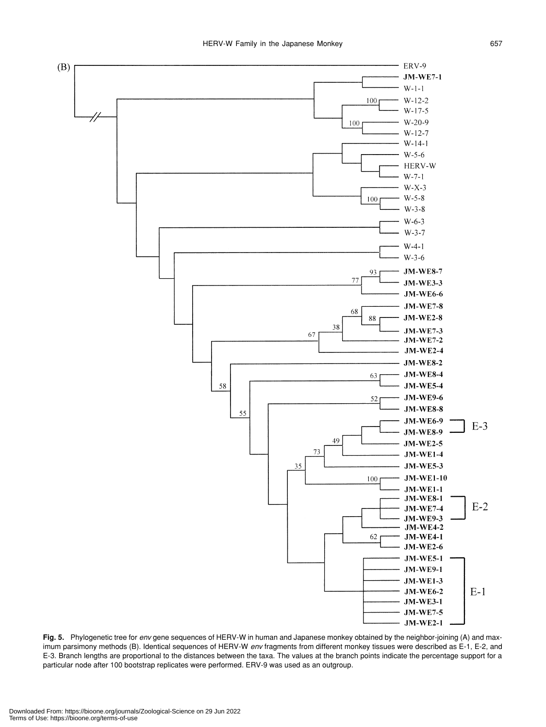

**Fig. 5.** Phylogenetic tree for *env* gene sequences of HERV-W in human and Japanese monkey obtained by the neighbor-joining (A) and maximum parsimony methods (B). Identical sequences of HERV-W *env* fragments from different monkey tissues were described as E-1, E-2, and E-3. Branch lengths are proportional to the distances between the taxa. The values at the branch points indicate the percentage support for a particular node after 100 bootstrap replicates were performed. ERV-9 was used as an outgroup.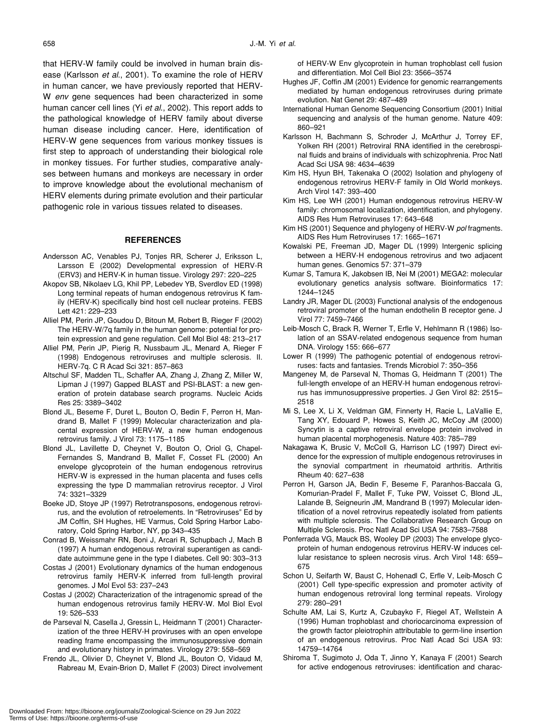that HERV-W family could be involved in human brain disease (Karlsson *et al*., 2001). To examine the role of HERV in human cancer, we have previously reported that HERV-W *env* gene sequences had been characterized in some human cancer cell lines (Yi *et al*., 2002). This report adds to the pathological knowledge of HERV family about diverse human disease including cancer. Here, identification of HERV-W gene sequences from various monkey tissues is first step to approach of understanding their biological role in monkey tissues. For further studies, comparative analyses between humans and monkeys are necessary in order to improve knowledge about the evolutional mechanism of HERV elements during primate evolution and their particular pathogenic role in various tissues related to diseases.

# **REFERENCES**

- Andersson AC, Venables PJ, Tonjes RR, Scherer J, Eriksson L, Larsson E (2002) Developmental expression of HERV-R (ERV3) and HERV-K in human tissue. Virology 297: 220–225
- Akopov SB, Nikolaev LG, Khil PP, Lebedev YB, Sverdlov ED (1998) Long terminal repeats of human endogenous retrovirus K family (HERV-K) specifically bind host cell nuclear proteins. FEBS Lett 421: 229–233
- Alliel PM, Perin JP, Goudou D, Bitoun M, Robert B, Rieger F (2002) The HERV-W/7q family in the human genome: potential for protein expression and gene regulation. Cell Mol Biol 48: 213–217
- Alliel PM, Perin JP, Pierig R, Nussbaum JL, Menard A, Rieger F (1998) Endogenous retroviruses and multiple sclerosis. II. HERV-7q. C R Acad Sci 321: 857–863
- Altschul SF, Madden TL, Schaffer AA, Zhang J, Zhang Z, Miller W, Lipman J (1997) Gapped BLAST and PSI-BLAST: a new generation of protein database search programs. Nucleic Acids Res 25: 3389–3402
- Blond JL, Beseme F, Duret L, Bouton O, Bedin F, Perron H, Mandrand B, Mallet F (1999) Molecular characterization and placental expression of HERV-W, a new human endogenous retrovirus family. J Virol 73: 1175–1185
- Blond JL, Lavillette D, Cheynet V, Bouton O, Oriol G, Chapel-Fernandes S, Mandrand B, Mallet F, Cosset FL (2000) An envelope glycoprotein of the human endogenous retrovirus HERV-W is expressed in the human placenta and fuses cells expressing the type D mammalian retrovirus receptor. J Virol 74: 3321–3329
- Boeke JD, Stoye JP (1997) Retrotransposons, endogenous retrovirus, and the evolution of retroelements. In "Retroviruses" Ed by JM Coffin, SH Hughes, HE Varmus, Cold Spring Harbor Laboratory, Cold Spring Harbor, NY, pp 343–435
- Conrad B, Weissmahr RN, Boni J, Arcari R, Schupbach J, Mach B (1997) A human endogenous retroviral superantigen as candidate autoimmune gene in the type I diabetes. Cell 90: 303–313
- Costas J (2001) Evolutionary dynamics of the human endogenous retrovirus family HERV-K inferred from full-length proviral genomes. J Mol Evol 53: 237–243
- Costas J (2002) Characterization of the intragenomic spread of the human endogenous retrovirus family HERV-W. Mol Biol Evol 19: 526–533
- de Parseval N, Casella J, Gressin L, Heidmann T (2001) Characterization of the three HERV-H proviruses with an open envelope reading frame encompassing the immunosuppressive domain and evolutionary history in primates. Virology 279: 558–569
- Frendo JL, Olivier D, Cheynet V, Blond JL, Bouton O, Vidaud M, Rabreau M, Evain-Brion D, Mallet F (2003) Direct involvement

of HERV-W Env glycoprotein in human trophoblast cell fusion and differentiation. Mol Cell Biol 23: 3566–3574

- Hughes JF, Coffin JM (2001) Evidence for genomic rearrangements mediated by human endogenous retroviruses during primate evolution. Nat Genet 29: 487–489
- International Human Genome Sequencing Consortium (2001) Initial sequencing and analysis of the human genome. Nature 409: 860–921
- Karlsson H, Bachmann S, Schroder J, McArthur J, Torrey EF, Yolken RH (2001) Retroviral RNA identified in the cerebrospinal fluids and brains of individuals with schizophrenia. Proc Natl Acad Sci USA 98: 4634–4639
- Kim HS, Hyun BH, Takenaka O (2002) Isolation and phylogeny of endogenous retrovirus HERV-F family in Old World monkeys. Arch Virol 147: 393–400
- Kim HS, Lee WH (2001) Human endogenous retrovirus HERV-W family: chromosomal localization, identification, and phylogeny. AIDS Res Hum Retroviruses 17: 643–648
- Kim HS (2001) Sequence and phylogeny of HERV-W *pol* fragments. AIDS Res Hum Retroviruses 17: 1665–1671
- Kowalski PE, Freeman JD, Mager DL (1999) Intergenic splicing between a HERV-H endogenous retrovirus and two adjacent human genes. Genomics 57: 371–379
- Kumar S, Tamura K, Jakobsen IB, Nei M (2001) MEGA2: molecular evolutionary genetics analysis software. Bioinformatics 17: 1244–1245
- Landry JR, Mager DL (2003) Functional analysis of the endogenous retroviral promoter of the human endothelin B receptor gene. J Virol 77: 7459–7466
- Leib-Mosch C, Brack R, Werner T, Erfle V, Hehlmann R (1986) Isolation of an SSAV-related endogenous sequence from human DNA. Virology 155: 666–677
- Lower R (1999) The pathogenic potential of endogenous retroviruses: facts and fantasies. Trends Microbiol 7: 350–356
- Mangeney M, de Parseval N, Thomas G, Heidmann T (2001) The full-length envelope of an HERV-H human endogenous retrovirus has immunosuppressive properties. J Gen Virol 82: 2515– 2518
- Mi S, Lee X, Li X, Veldman GM, Finnerty H, Racie L, LaVallie E, Tang XY, Edouard P, Howes S, Keith JC, McCoy JM (2000) Syncytin is a captive retroviral envelope protein involved in human placental morphogenesis. Nature 403: 785–789
- Nakagawa K, Brusic V, McColl G, Harrison LC (1997) Direct evidence for the expression of multiple endogenous retroviruses in the synovial compartment in rheumatoid arthritis. Arthritis Rheum 40: 627–638
- Perron H, Garson JA, Bedin F, Beseme F, Paranhos-Baccala G, Komurian-Pradel F, Mallet F, Tuke PW, Voisset C, Blond JL, Lalande B, Seigneurin JM, Mandrand B (1997) Molecular identification of a novel retrovirus repeatedly isolated from patients with multiple sclerosis. The Collaborative Research Group on Multiple Sclerosis. Proc Natl Acad Sci USA 94: 7583–7588
- Ponferrada VG, Mauck BS, Wooley DP (2003) The envelope glycoprotein of human endogenous retrovirus HERV-W induces cellular resistance to spleen necrosis virus. Arch Virol 148: 659– 675
- Schon U, Seifarth W, Baust C, Hohenadl C, Erfle V, Leib-Mosch C (2001) Cell type-specific expression and promoter activity of human endogenous retroviral long terminal repeats. Virology 279: 280–291
- Schulte AM, Lai S, Kurtz A, Czubayko F, Riegel AT, Wellstein A (1996) Human trophoblast and choriocarcinoma expression of the growth factor pleiotrophin attributable to germ-line insertion of an endogenous retrovirus. Proc Natl Acad Sci USA 93: 14759–14764
- Shiroma T, Sugimoto J, Oda T, Jinno Y, Kanaya F (2001) Search for active endogenous retroviruses: identification and charac-